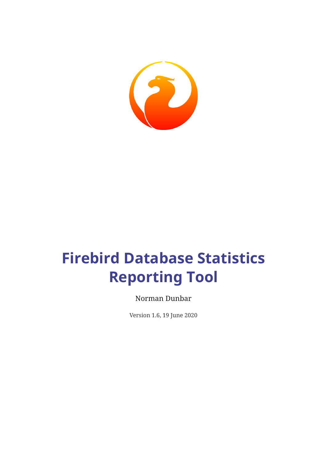

# **Firebird Database Statistics Reporting Tool**

Norman Dunbar

Version 1.6, 19 June 2020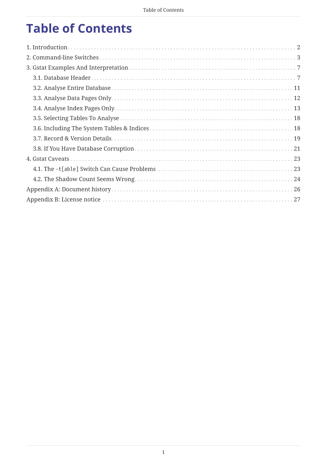# **Table of Contents**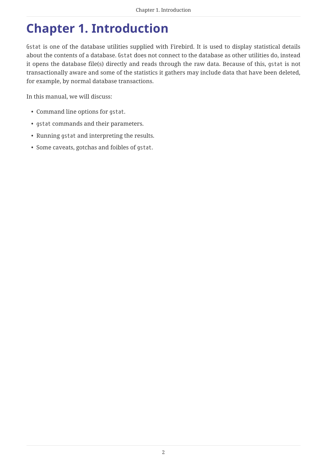# <span id="page-2-0"></span>**Chapter 1. Introduction**

Gstat is one of the database utilities supplied with Firebird. It is used to display statistical details about the contents of a database. Gstat does not connect to the database as other utilities do, instead it opens the database file(s) directly and reads through the raw data. Because of this, gstat is not transactionally aware and some of the statistics it gathers may include data that have been deleted, for example, by normal database transactions.

In this manual, we will discuss:

- Command line options for gstat.
- gstat commands and their parameters.
- Running gstat and interpreting the results.
- Some caveats, gotchas and foibles of gstat.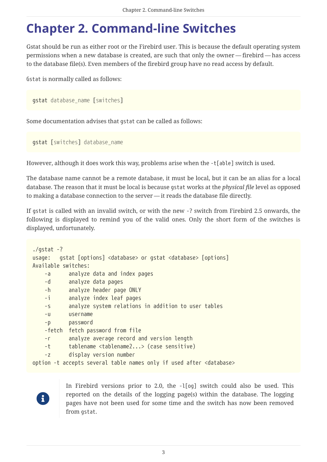# <span id="page-3-0"></span>**Chapter 2. Command-line Switches**

Gstat should be run as either root or the Firebird user. This is because the default operating system permissions when a new database is created, are such that only the owner — firebird — has access to the database file(s). Even members of the firebird group have no read access by default.

Gstat is normally called as follows:

```
gstat database_name [switches]
```
Some documentation advises that gstat can be called as follows:

gstat [*switches*] *database\_name*

However, although it does work this way, problems arise when the -t[able] switch is used.

The database name cannot be a remote database, it must be local, but it can be an alias for a local database. The reason that it must be local is because gstat works at the *physical file* level as opposed to making a database connection to the server — it reads the database file directly.

If gstat is called with an invalid switch, or with the new -? switch from Firebird 2.5 onwards, the following is displayed to remind you of the valid ones. Only the short form of the switches is displayed, unfortunately.

```
./gstat -?usage: gstat [options] <database> or gstat <database> [options]
Available switches:
     -a analyze data and index pages
     -d analyze data pages
     -h analyze header page ONLY
     -i analyze index leaf pages
     -s analyze system relations in addition to user tables
     -u username
     -p password
     -fetch fetch password from file
     -r analyze average record and version length
     -t tablename <tablename2...> (case sensitive)
     -z display version number
option -t accepts several table names only if used after <database>
```
8

In Firebird versions prior to 2.0, the -l[og] switch could also be used. This reported on the details of the logging page(s) within the database. The logging pages have not been used for some time and the switch has now been removed from gstat.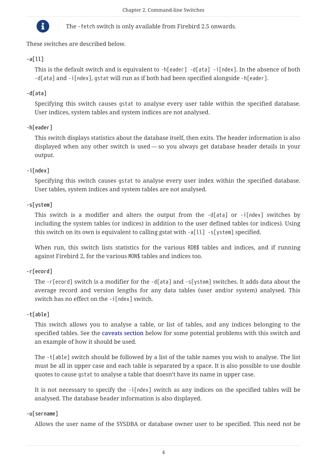

The -fetch switch is only available from Firebird 2.5 onwards.

These switches are described below.

# **-a[ll]**

This is the default switch and is equivalent to -h[eader] -d[ata] -i[ndex]. In the absence of both -d[ata] and -i[ndex], gstat will run as if both had been specified alongside -h[eader].

# **-d[ata]**

Specifying this switch causes gstat to analyse every user table within the specified database. User indices, system tables and system indices are not analysed.

# **-h[eader]**

This switch displays statistics about the database itself, then exits. The header information is also displayed when any other switch is used — so you always get database header details in your output.

# **-i[ndex]**

Specifying this switch causes gstat to analyse every user index within the specified database. User tables, system indices and system tables are not analysed.

# **-s[ystem]**

This switch is a modifier and alters the output from the -d[ata] or -i[ndex] switches by including the system tables (or indices) in addition to the user defined tables (or indices). Using this switch on its own is equivalent to calling gstat with -a[ll] -s[ystem] specified.

When run, this switch lists statistics for the various RDB\$ tables and indices, and if running against Firebird 2, for the various MON\$ tables and indices too.

## **-r[ecord]**

The -r[ecord] switch is a modifier for the -d[ata] and -s[ystem] switches. It adds data about the average record and version lengths for any data tables (user and/or system) analysed. This switch has no effect on the -i[ndex] switch.

## **-t[able]**

This switch allows you to analyse a table, or list of tables, and any indices belonging to the specified tables. See the [caveats section](#page-23-0) below for some potential problems with this switch and an example of how it should be used.

The -t[able] switch should be followed by a list of the table names you wish to analyse. The list must be all in upper case and each table is separated by a space. It is also possible to use double quotes to cause gstat to analyse a table that doesn't have its name in upper case.

It is not necessary to specify the  $-i$ [ndex] switch as any indices on the specified tables will be analysed. The database header information is also displayed.

## **-u[sername]**

Allows the user name of the SYSDBA or database owner user to be specified. This need not be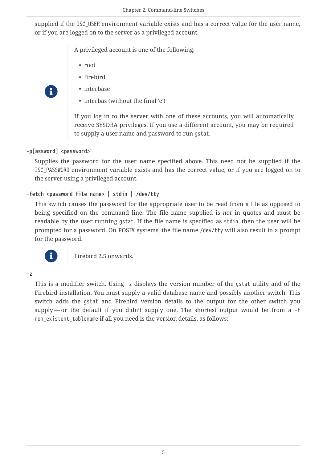supplied if the ISC\_USER environment variable exists and has a correct value for the user name, or if you are logged on to the server as a privileged account.

A privileged account is one of the following:

- root
- firebird
- interbase
- interbas (without the final 'e')

If you log in to the server with one of these accounts, you will automatically receive SYSDBA privileges. If you use a different account, you may be required to supply a user name and password to run gstat.

#### **-p[assword] <password>**

8

Supplies the password for the user name specified above. This need not be supplied if the ISC PASSWORD environment variable exists and has the correct value, or if you are logged on to the server using a privileged account.

#### **-fetch <password file name> | stdin | /dev/tty**

This switch causes the password for the appropriate user to be read from a file as opposed to being specified on the command line. The file name supplied is *not* in quotes and must be readable by the user running gstat. If the file name is specified as stdin, then the user will be prompted for a password. On POSIX systems, the file name /dev/tty will also result in a prompt for the password.



f Firebird 2.5 onwards.

#### **-z**

This is a modifier switch. Using -z displays the version number of the gstat utility and of the Firebird installation. You must supply a valid database name and possibly another switch. This switch adds the gstat and Firebird version details to the output for the other switch you supply — or the default if you didn't supply one. The shortest output would be from a -t non\_existent\_tablename if all you need is the version details, as follows: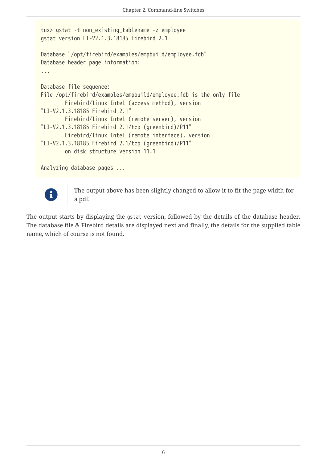```
tux> gstat -t non_existing_tablename -z employee
gstat version LI-V2.1.3.18185 Firebird 2.1
Database "/opt/firebird/examples/empbuild/employee.fdb"
Database header page information:
...
Database file sequence:
File /opt/firebird/examples/empbuild/employee.fdb is the only file
          Firebird/linux Intel (access method), version
"LI-V2.1.3.18185 Firebird 2.1"
          Firebird/linux Intel (remote server), version
"LI-V2.1.3.18185 Firebird 2.1/tcp (greenbird)/P11"
          Firebird/linux Intel (remote interface), version
"LI-V2.1.3.18185 Firebird 2.1/tcp (greenbird)/P11"
          on disk structure version 11.1
Analyzing database pages ...
```


The output above has been slightly changed to allow it to fit the page width for a pdf.

The output starts by displaying the gstat version, followed by the details of the database header. The database file & Firebird details are displayed next and finally, the details for the supplied table name, which of course is not found.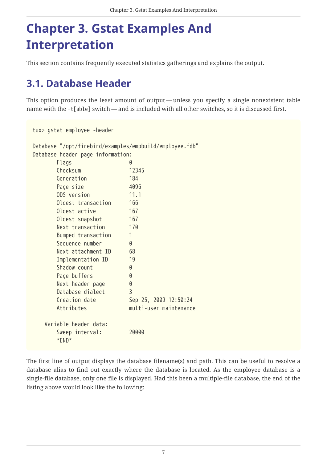# <span id="page-7-0"></span>**Chapter 3. Gstat Examples And Interpretation**

This section contains frequently executed statistics gatherings and explains the output.

# <span id="page-7-1"></span>**3.1. Database Header**

This option produces the least amount of output — unless you specify a single nonexistent table name with the -t[able] switch — and is included with all other switches, so it is discussed first.

tux> gstat employee -header Database "/opt/firebird/examples/empbuild/employee.fdb" Database header page information: Flags 0 Checksum 12345 Generation 184 Page size 4096 ODS version 11.1 Oldest transaction 166 Oldest active 167 Oldest snapshot 167 Next transaction 170 Bumped transaction 1 Sequence number 0 Next attachment ID 68 Implementation ID 19 Shadow count 0 Page buffers 0 Next header page 0 Database dialect 3 Creation date Sep 25, 2009 12:50:24 Attributes multi-user maintenance Variable header data: Sweep interval: 20000 \*END\*

The first line of output displays the database filename(s) and path. This can be useful to resolve a database alias to find out exactly where the database is located. As the employee database is a single-file database, only one file is displayed. Had this been a multiple-file database, the end of the listing above would look like the following: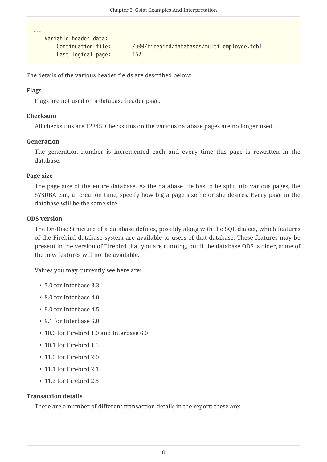```
  Variable header data:
     Last logical page: 162
```
Continuation file: /u00/firebird/databases/multi\_employee.fdb1

The details of the various header fields are described below:

## **Flags**

...

Flags are not used on a database header page.

### **Checksum**

All checksums are 12345. Checksums on the various database pages are no longer used.

### **Generation**

The generation number is incremented each and every time this page is rewritten in the database.

### **Page size**

The page size of the entire database. As the database file has to be split into various pages, the SYSDBA can, at creation time, specify how big a page size he or she desires. Every page in the database will be the same size.

### **ODS version**

The On-Disc Structure of a database defines, possibly along with the SQL dialect, which features of the Firebird database system are available to users of that database. These features may be present in the version of Firebird that you are running, but if the database ODS is older, some of the new features will not be available.

Values you may currently see here are:

- 5.0 for Interbase 3.3
- 8.0 for Interbase 4.0
- 9.0 for Interbase 4.5
- 9.1 for Interbase 5.0
- 10.0 for Firebird 1.0 and Interbase 6.0
- 10.1 for Firebird 1.5
- 11.0 for Firebird 2.0
- 11.1 for Firebird 2.1
- 11.2 for Firebird 2.5

### **Transaction details**

There are a number of different transaction details in the report; these are: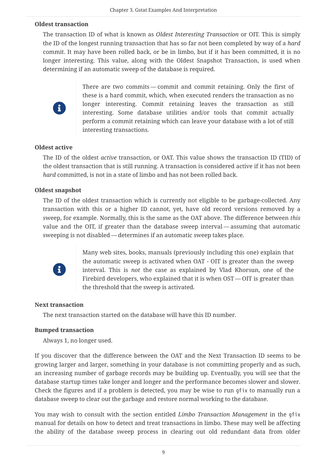#### **Oldest transaction**

The transaction ID of what is known as *Oldest Interesting Transaction* or OIT. This is simply the ID of the longest running transaction that has so far not been completed by way of a *hard* commit. It may have been rolled back, or be in limbo, but if it has been committed, it is no longer interesting. This value, along with the Oldest Snapshot Transaction, is used when determining if an automatic sweep of the database is required.



There are two commits — commit and commit retaining. Only the first of these is a hard commit, which, when executed renders the transaction as no longer interesting. Commit retaining leaves the transaction as still interesting. Some database utilities and/or tools that commit actually perform a commit retaining which can leave your database with a lot of still interesting transactions.

#### **Oldest active**

The ID of the oldest *active* transaction, or OAT. This value shows the transaction ID (TID) of the oldest transaction that is still running. A transaction is considered active if it has not been *hard* committed, is not in a state of limbo and has not been rolled back.

#### **Oldest snapshot**

The ID of the oldest transaction which is currently not eligible to be garbage-collected. Any transaction with this or a higher ID cannot, yet, have old record versions removed by a sweep, for example. Normally, this is the same as the OAT above. The difference between *this* value and the OIT, if greater than the database sweep interval — assuming that automatic sweeping is not disabled — determines if an automatic sweep takes place.



Many web sites, books, manuals (previously including this one) explain that the automatic sweep is activated when OAT - OIT is greater than the sweep interval. This is *not* the case as explained by Vlad Khorsun, one of the Firebird developers, who explained that it is when OST — OIT is greater than the threshold that the sweep is activated.

#### **Next transaction**

The next transaction started on the database will have this ID number.

#### **Bumped transaction**

Always 1, no longer used.

If you discover that the difference between the OAT and the Next Transaction ID seems to be growing larger and larger, something in your database is not committing properly and as such, an increasing number of garbage records may be building up. Eventually, you will see that the database startup times take longer and longer and the performance becomes slower and slower. Check the figures and if a problem is detected, you may be wise to run gfix to manually run a database sweep to clear out the garbage and restore normal working to the database.

You may wish to consult with the section entitled *Limbo Transaction Management* in the gfix manual for details on how to detect and treat transactions in limbo. These may well be affecting the ability of the database sweep process in clearing out old redundant data from older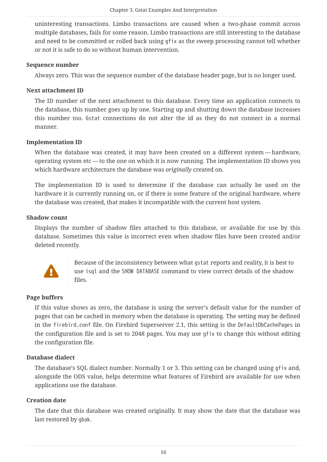uninteresting transactions. Limbo transactions are caused when a two-phase commit across multiple databases, fails for some reason. Limbo transactions are still interesting to the database and need to be committed or rolled back using gfix as the sweep processing cannot tell whether or not it is safe to do so without human intervention.

#### **Sequence number**

Always zero. This was the sequence number of the database header page, but is no longer used.

#### **Next attachment ID**

The ID number of the next attachment to this database. Every time an application connects to the database, this number goes up by one. Starting up and shutting down the database increases this number too. Gstat connections do not alter the id as they do not connect in a normal manner.

#### **Implementation ID**

When the database was created, it may have been created on a different system — hardware, operating system etc — to the one on which it is now running. The implementation ID shows you which hardware architecture the database was *originally* created on.

The implementation ID is used to determine if the database can actually be used on the hardware it is currently running on, or if there is some feature of the original hardware, where the database was created, that makes it incompatible with the current host system.

#### **Shadow count**

Displays the number of shadow files attached to this database, or available for use by this database. Sometimes this value is incorrect even when shadow files have been created and/or deleted recently.



Because of the inconsistency between what gstat reports and reality, it is best to use isql and the SHOW DATABASE command to view correct details of the shadow files.

### **Page buffers**

If this value shows as zero, the database is using the server's default value for the number of pages that can be cached in memory when the database is operating. The setting may be defined in the firebird.conf file. On Firebird Superserver 2.1, this setting is the DefaultDbCachePages in the configuration file and is set to 2048 pages. You may use gfix to change this without editing the configuration file.

### **Database dialect**

The database's SQL dialect number. Normally 1 or 3. This setting can be changed using gfix and, alongside the ODS value, helps determine what features of Firebird are available for use when applications use the database.

#### **Creation date**

The date that this database was created originally. It may show the date that the database was last restored by gbak.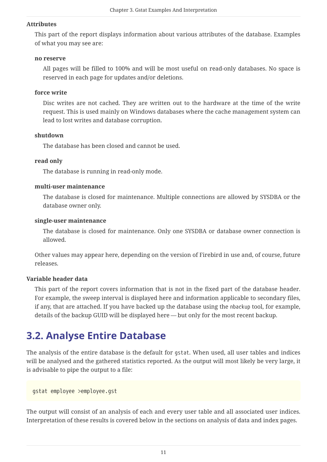#### **Attributes**

This part of the report displays information about various attributes of the database. Examples of what you may see are:

#### **no reserve**

All pages will be filled to 100% and will be most useful on read-only databases. No space is reserved in each page for updates and/or deletions.

#### **force write**

Disc writes are not cached. They are written out to the hardware at the time of the write request. This is used mainly on Windows databases where the cache management system can lead to lost writes and database corruption.

#### **shutdown**

The database has been closed and cannot be used.

#### **read only**

The database is running in read-only mode.

#### **multi-user maintenance**

The database is closed for maintenance. Multiple connections are allowed by SYSDBA or the database owner only.

#### **single-user maintenance**

The database is closed for maintenance. Only one SYSDBA or database owner connection is allowed.

Other values may appear here, depending on the version of Firebird in use and, of course, future releases.

#### **Variable header data**

This part of the report covers information that is not in the fixed part of the database header. For example, the sweep interval is displayed here and information applicable to secondary files, if any, that are attached. If you have backed up the database using the nbackup tool, for example, details of the backup GUID will be displayed here — but only for the most recent backup.

# <span id="page-11-0"></span>**3.2. Analyse Entire Database**

The analysis of the entire database is the default for gstat. When used, all user tables and indices will be analysed and the gathered statistics reported. As the output will most likely be very large, it is advisable to pipe the output to a file:

gstat employee >employee.gst

The output will consist of an analysis of each and every user table and all associated user indices. Interpretation of these results is covered below in the sections on analysis of data and index pages.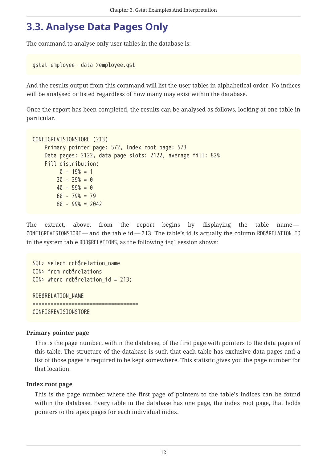# <span id="page-12-0"></span>**3.3. Analyse Data Pages Only**

The command to analyse only user tables in the database is:

```
gstat employee -data >employee.gst
```
And the results output from this command will list the user tables in alphabetical order. No indices will be analysed or listed regardless of how many may exist within the database.

Once the report has been completed, the results can be analysed as follows, looking at one table in particular.

```
CONFIGREVISIONSTORE (213)
      Primary pointer page: 572, Index root page: 573
      Data pages: 2122, data page slots: 2122, average fill: 82%
      Fill distribution:
         0 - 19% = 1
        20 - 39% = 040 - 59% = 0  60 - 79% = 79
          80 - 99% = 2042
```
The extract, above, from the report begins by displaying the table name -CONFIGREVISIONSTORE — and the table id — 213. The table's id is actually the column RDB\$RELATION\_ID in the system table RDB\$RELATIONS, as the following isql session shows:

SQL> select rdb\$relation\_name CON> from rdb\$relations CON> where  $rdb$$ relation id = 213; RDB\$RELATION\_NAME =================================== CONFIGREVISIONSTORE

### **Primary pointer page**

This is the page number, within the database, of the first page with pointers to the data pages of this table. The structure of the database is such that each table has exclusive data pages and a list of those pages is required to be kept somewhere. This statistic gives you the page number for that location.

#### **Index root page**

This is the page number where the first page of pointers to the table's indices can be found within the database. Every table in the database has one page, the index root page, that holds pointers to the apex pages for each individual index.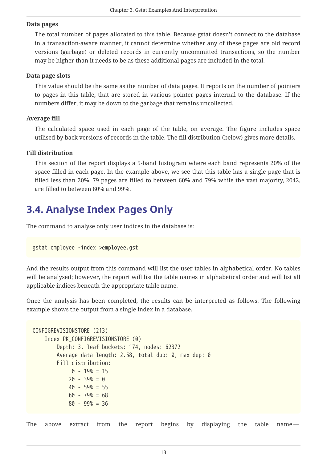#### **Data pages**

The total number of pages allocated to this table. Because gstat doesn't connect to the database in a transaction-aware manner, it cannot determine whether any of these pages are old record versions (garbage) or deleted records in currently uncommitted transactions, so the number may be higher than it needs to be as these additional pages are included in the total.

#### **Data page slots**

This value should be the same as the number of data pages. It reports on the number of pointers to pages in this table, that are stored in various pointer pages internal to the database. If the numbers differ, it may be down to the garbage that remains uncollected.

#### **Average fill**

The calculated space used in each page of the table, on average. The figure includes space utilised by back versions of records in the table. The fill distribution (below) gives more details.

### **Fill distribution**

This section of the report displays a 5-band histogram where each band represents 20% of the space filled in each page. In the example above, we see that this table has a single page that is filled less than 20%, 79 pages are filled to between 60% and 79% while the vast majority, 2042, are filled to between 80% and 99%.

# <span id="page-13-0"></span>**3.4. Analyse Index Pages Only**

The command to analyse only user indices in the database is:

```
gstat employee -index >employee.gst
```
And the results output from this command will list the user tables in alphabetical order. No tables will be analysed; however, the report will list the table names in alphabetical order and will list all applicable indices beneath the appropriate table name.

Once the analysis has been completed, the results can be interpreted as follows. The following example shows the output from a single index in a database.

```
CONFIGREVISIONSTORE (213)
      Index PK_CONFIGREVISIONSTORE (0)
          Depth: 3, leaf buckets: 174, nodes: 62372
          Average data length: 2.58, total dup: 0, max dup: 0
          Fill distribution:
             0 - 19% = 15
            20 - 39% = 0  40 - 59% = 55
              60 - 79% = 68
              80 - 99% = 36
```
The above extract from the report begins by displaying the table name—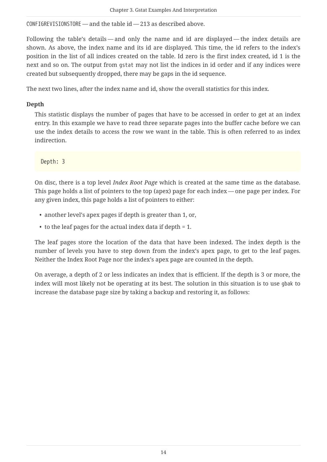CONFIGREVISIONSTORE — and the table id — 213 as described above.

Following the table's details — and only the name and id are displayed — the index details are shown. As above, the index name and its id are displayed. This time, the id refers to the index's position in the list of all indices created on the table. Id zero is the first index created, id 1 is the next and so on. The output from gstat may not list the indices in id order and if any indices were created but subsequently dropped, there may be gaps in the id sequence.

The next two lines, after the index name and id, show the overall statistics for this index.

## **Depth**

This statistic displays the number of pages that have to be accessed in order to get at an index entry. In this example we have to read three separate pages into the buffer cache before we can use the index details to access the row we want in the table. This is often referred to as index indirection.

Depth: 3

On disc, there is a top level *Index Root Page* which is created at the same time as the database. This page holds a list of pointers to the top (apex) page for each index — one page per index. For any given index, this page holds a list of pointers to either:

- another level's apex pages if depth is greater than 1, or,
- to the leaf pages for the actual index data if depth = 1.

The leaf pages store the location of the data that have been indexed. The index depth is the number of levels you have to step down from the index's apex page, to get to the leaf pages. Neither the Index Root Page nor the index's apex page are counted in the depth.

On average, a depth of 2 or less indicates an index that is efficient. If the depth is 3 or more, the index will most likely not be operating at its best. The solution in this situation is to use gbak to increase the database page size by taking a backup and restoring it, as follows: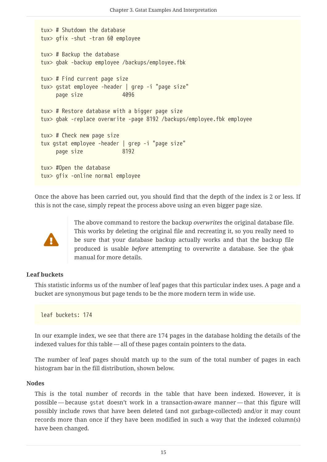```
tux> # Shutdown the database
tux> gfix -shut -tran 60 employee
tux> # Backup the database
tux> gbak -backup employee /backups/employee.fbk
tux> # Find current page size
tux> gstat employee -header | grep -i "page size"
      page size 4096
tux> # Restore database with a bigger page size
tux> gbak -replace overwrite -page 8192 /backups/employee.fbk employee
tux> # Check new page size
tux gstat employee -header | grep -i "page size"
    page size 8192
tux> #Open the database
tux> gfix -online normal employee
```
Once the above has been carried out, you should find that the depth of the index is 2 or less. If this is not the case, simply repeat the process above using an even bigger page size.



The above command to restore the backup *overwrites* the original database file. This works by deleting the original file and recreating it, so you really need to be sure that your database backup actually works and that the backup file produced is usable *before* attempting to overwrite a database. See the gbak manual for more details.

#### **Leaf buckets**

This statistic informs us of the number of leaf pages that this particular index uses. A page and a bucket are synonymous but page tends to be the more modern term in wide use.

leaf buckets: 174

In our example index, we see that there are 174 pages in the database holding the details of the indexed values for this table — all of these pages contain pointers to the data.

The number of leaf pages should match up to the sum of the total number of pages in each histogram bar in the fill distribution, shown below.

#### **Nodes**

This is the total number of records in the table that have been indexed. However, it is possible — because gstat doesn't work in a transaction-aware manner — that this figure will possibly include rows that have been deleted (and not garbage-collected) and/or it may count records more than once if they have been modified in such a way that the indexed column(s) have been changed.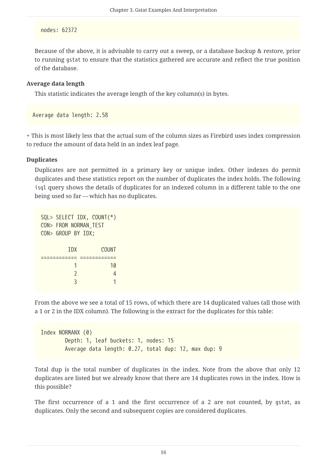#### nodes: 62372

Because of the above, it is advisable to carry out a sweep, or a database backup & restore, prior to running gstat to ensure that the statistics gathered are accurate and reflect the true position of the database.

#### **Average data length**

This statistic indicates the average length of the key column(s) in bytes.

Average data length: 2.58

+ This is most likely less that the actual sum of the column sizes as Firebird uses index compression to reduce the amount of data held in an index leaf page.

#### **Duplicates**

Duplicates are not permitted in a primary key or unique index. Other indexes do permit duplicates and these statistics report on the number of duplicates the index holds. The following isql query shows the details of duplicates for an indexed column in a different table to the one being used so far — which has no duplicates.

| SQL> SELECT IDX, COUNT(*) |       |
|---------------------------|-------|
| CON> FROM NORMAN TEST     |       |
| CON> GROUP BY IDX;        |       |
|                           |       |
| <b>TDX</b>                | COUNT |
|                           |       |
|                           | 10    |
| $\mathfrak z$             | 4     |
|                           |       |
|                           |       |

From the above we see a total of 15 rows, of which there are 14 duplicated values (all those with a 1 or 2 in the IDX column). The following is the extract for the duplicates for this table:

```
Index NORMANX (0)
          Depth: 1, leaf buckets: 1, nodes: 15
          Average data length: 0.27, total dup: 12, max dup: 9
```
Total dup is the total number of duplicates in the index. Note from the above that only 12 duplicates are listed but we already know that there are 14 duplicates rows in the index. How is this possible?

The first occurrence of a 1 and the first occurrence of a 2 are not counted, by gstat, as duplicates. Only the second and subsequent copies are considered duplicates.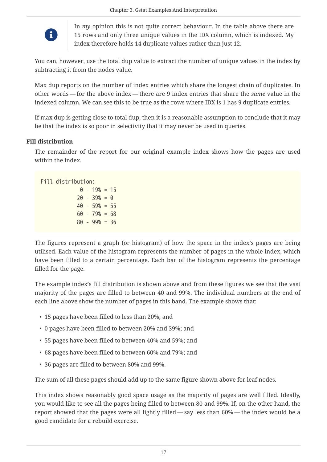

In *my* opinion this is not quite correct behaviour. In the table above there are 15 rows and only three unique values in the IDX column, which is indexed. My index therefore holds 14 duplicate values rather than just 12.

You can, however, use the total dup value to extract the number of unique values in the index by subtracting it from the nodes value.

Max dup reports on the number of index entries which share the longest chain of duplicates. In other words — for the above index — there are 9 index entries that share the *same* value in the indexed column. We can see this to be true as the rows where IDX is 1 has 9 duplicate entries.

If max dup is getting close to total dup, then it is a reasonable assumption to conclude that it may be that the index is so poor in selectivity that it may never be used in queries.

### **Fill distribution**

The remainder of the report for our original example index shows how the pages are used within the index.

Fill distribution:  $0 - 19$ % = 15  $20 - 39% = 0$  40 - 59% = 55  $60 - 79$ % = 68 80 - 99% = 36

The figures represent a graph (or histogram) of how the space in the index's pages are being utilised. Each value of the histogram represents the number of pages in the whole index, which have been filled to a certain percentage. Each bar of the histogram represents the percentage filled for the page.

The example index's fill distribution is shown above and from these figures we see that the vast majority of the pages are filled to between 40 and 99%. The individual numbers at the end of each line above show the number of pages in this band. The example shows that:

- 15 pages have been filled to less than 20%; and
- 0 pages have been filled to between 20% and 39%; and
- 55 pages have been filled to between 40% and 59%; and
- 68 pages have been filled to between 60% and 79%; and
- 36 pages are filled to between 80% and 99%.

The sum of all these pages should add up to the same figure shown above for leaf nodes.

This index shows reasonably good space usage as the majority of pages are well filled. Ideally, you would like to see all the pages being filled to between 80 and 99%. If, on the other hand, the report showed that the pages were all lightly filled — say less than 60% — the index would be a good candidate for a rebuild exercise.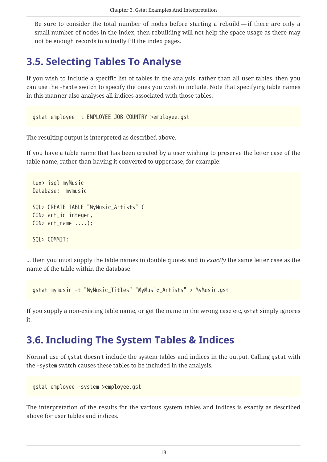Be sure to consider the total number of nodes before starting a rebuild — if there are only a small number of nodes in the index, then rebuilding will not help the space usage as there may not be enough records to actually fill the index pages.

# <span id="page-18-0"></span>**3.5. Selecting Tables To Analyse**

If you wish to include a specific list of tables in the analysis, rather than all user tables, then you can use the -table switch to specify the ones you wish to include. Note that specifying table names in this manner also analyses all indices associated with those tables.

gstat employee -t EMPLOYEE JOB COUNTRY >employee.gst

The resulting output is interpreted as described above.

If you have a table name that has been created by a user wishing to preserve the letter case of the table name, rather than having it converted to uppercase, for example:

```
tux> isql myMusic
Database: mymusic
SQL> CREATE TABLE "MyMusic_Artists" (
CON> art_id integer,
CON> art_name ....);
SQL> COMMIT;
```
... then you must supply the table names in double quotes and in *exactly* the same letter case as the name of the table within the database:

gstat mymusic -t "MyMusic\_Titles" "MyMusic\_Artists" > MyMusic.gst

If you supply a non-existing table name, or get the name in the wrong case etc, gstat simply ignores it.

# <span id="page-18-1"></span>**3.6. Including The System Tables & Indices**

Normal use of gstat doesn't include the system tables and indices in the output. Calling gstat with the -system switch causes these tables to be included in the analysis.

```
gstat employee -system >employee.gst
```
The interpretation of the results for the various system tables and indices is exactly as described above for user tables and indices.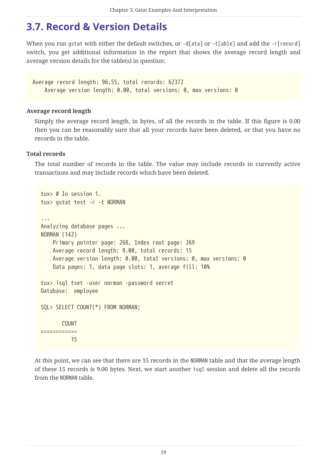# <span id="page-19-0"></span>**3.7. Record & Version Details**

When you run gstat with either the default switches, or  $-d$ [ata] or  $-t$ [able] and add the  $-r$ [record] switch, you get additional information in the report that shows the average record length and average version details for the table(s) in question:

Average record length: 96.55, total records: 62372 Average version length: 0.00, total versions: 0, max versions: 0

#### **Average record length**

Simply the average record length, in bytes, of all the records in the table. If this figure is 0.00 then you can be reasonably sure that all your records have been deleted, or that you have no records in the table.

#### **Total records**

The total number of records in the table. The value may include records in currently active transactions and may include records which have been deleted.

```
tux> # In session 1.
tux> gstat test -r -t NORMAN
...
Analyzing database pages ...
NORMAN (142)
      Primary pointer page: 268, Index root page: 269
      Average record length: 9.00, total records: 15
      Average version length: 0.00, total versions: 0, max versions: 0
      Data pages: 1, data page slots: 1, average fill: 10%
tux> isql tset -user norman -password secret
Database: employee
SQL> SELECT COUNT(*) FROM NORMAN;
         COUNT
============
            15
```
At this point, we can see that there are 15 records in the NORMAN table and that the average length of these 15 records is 9.00 bytes. Next, we start another isql session and delete all the records from the NORMAN table.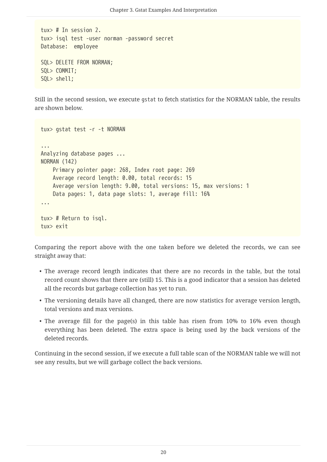tux> # In session 2. tux> isql test -user norman -password secret Database: employee SQL> DELETE FROM NORMAN; SQL> COMMIT; SQL> shell;

Still in the second session, we execute gstat to fetch statistics for the NORMAN table, the results are shown below.

```
tux> gstat test -r -t NORMAN
...
Analyzing database pages ...
NORMAN (142)
      Primary pointer page: 268, Index root page: 269
      Average record length: 0.00, total records: 15
      Average version length: 9.00, total versions: 15, max versions: 1
      Data pages: 1, data page slots: 1, average fill: 16%
...
tux> # Return to isql.
tux> exit
```
Comparing the report above with the one taken before we deleted the records, we can see straight away that:

- The average record length indicates that there are no records in the table, but the total record count shows that there are (still) 15. This is a good indicator that a session has deleted all the records but garbage collection has yet to run.
- The versioning details have all changed, there are now statistics for average version length, total versions and max versions.
- The average fill for the page(s) in this table has risen from 10% to 16% even though everything has been deleted. The extra space is being used by the back versions of the deleted records.

Continuing in the second session, if we execute a full table scan of the NORMAN table we will not see any results, but we will garbage collect the back versions.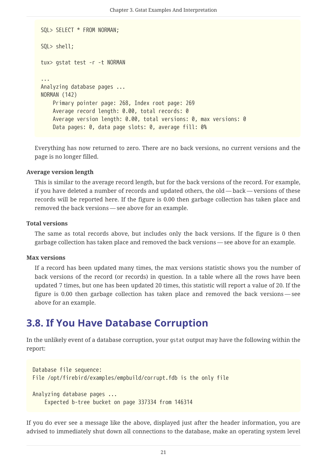```
SQL> SELECT * FROM NORMAN;
SQL> shell;
tux> gstat test -r -t NORMAN
...
Analyzing database pages ...
NORMAN (142)
      Primary pointer page: 268, Index root page: 269
      Average record length: 0.00, total records: 0
      Average version length: 0.00, total versions: 0, max versions: 0
      Data pages: 0, data page slots: 0, average fill: 0%
```
Everything has now returned to zero. There are no back versions, no current versions and the page is no longer filled.

#### **Average version length**

This is similar to the average record length, but for the back versions of the record. For example, if you have deleted a number of records and updated others, the old — back — versions of these records will be reported here. If the figure is 0.00 then garbage collection has taken place and removed the back versions — see above for an example.

#### **Total versions**

The same as total records above, but includes only the back versions. If the figure is 0 then garbage collection has taken place and removed the back versions — see above for an example.

#### **Max versions**

If a record has been updated many times, the max versions statistic shows you the number of back versions of the record (or records) in question. In a table where all the rows have been updated 7 times, but one has been updated 20 times, this statistic will report a value of 20. If the figure is 0.00 then garbage collection has taken place and removed the back versions — see above for an example.

# <span id="page-21-0"></span>**3.8. If You Have Database Corruption**

In the unlikely event of a database corruption, your gstat output may have the following within the report:

```
Database file sequence:
File /opt/firebird/examples/empbuild/corrupt.fdb is the only file
Analyzing database pages ...
      Expected b-tree bucket on page 337334 from 146314
```
If you do ever see a message like the above, displayed just after the header information, you are advised to immediately shut down all connections to the database, make an operating system level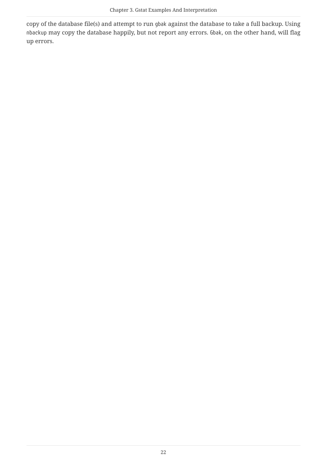copy of the database file(s) and attempt to run gbak against the database to take a full backup. Using nbackup may copy the database happily, but not report any errors. Gbak, on the other hand, will flag up errors.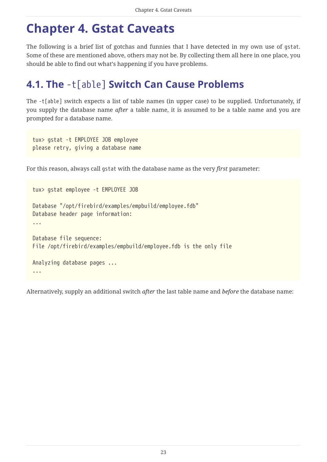# <span id="page-23-0"></span>**Chapter 4. Gstat Caveats**

The following is a brief list of gotchas and funnies that I have detected in my own use of gstat. Some of these are mentioned above, others may not be. By collecting them all here in one place, you should be able to find out what's happening if you have problems.

# <span id="page-23-1"></span>**4.1. The** -t[able] **Switch Can Cause Problems**

The -t[able] switch expects a list of table names (in upper case) to be supplied. Unfortunately, if you supply the database name *after* a table name, it is assumed to be a table name and you are prompted for a database name.

tux> gstat -t EMPLOYEE JOB employee please retry, giving a database name

For this reason, always call gstat with the database name as the very *first* parameter:

```
tux> gstat employee -t EMPLOYEE JOB
Database "/opt/firebird/examples/empbuild/employee.fdb"
Database header page information:
...
Database file sequence:
File /opt/firebird/examples/empbuild/employee.fdb is the only file
Analyzing database pages ...
...
```
Alternatively, supply an additional switch *after* the last table name and *before* the database name: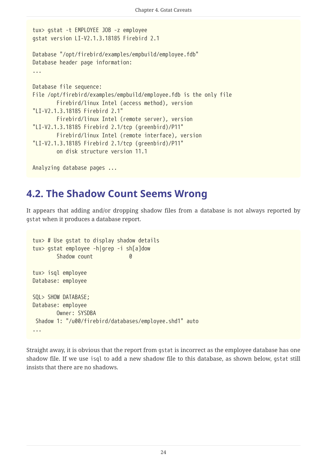```
tux> gstat -t EMPLOYEE JOB -z employee
gstat version LI-V2.1.3.18185 Firebird 2.1
Database "/opt/firebird/examples/empbuild/employee.fdb"
Database header page information:
...
Database file sequence:
File /opt/firebird/examples/empbuild/employee.fdb is the only file
          Firebird/linux Intel (access method), version
"LI-V2.1.3.18185 Firebird 2.1"
          Firebird/linux Intel (remote server), version
"LI-V2.1.3.18185 Firebird 2.1/tcp (greenbird)/P11"
          Firebird/linux Intel (remote interface), version
"LI-V2.1.3.18185 Firebird 2.1/tcp (greenbird)/P11"
          on disk structure version 11.1
Analyzing database pages ...
```
# <span id="page-24-0"></span>**4.2. The Shadow Count Seems Wrong**

It appears that adding and/or dropping shadow files from a database is not always reported by gstat when it produces a database report.

```
tux> # Use gstat to display shadow details
tux> gstat employee -h|grep -i sh[a]dow
       Shadow count 0
tux> isql employee
Database: employee
SQL> SHOW DATABASE;
Database: employee
         Owner: SYSDBA
 Shadow 1: "/u00/firebird/databases/employee.shd1" auto
...
```
Straight away, it is obvious that the report from gstat is incorrect as the employee database has one shadow file. If we use isql to add a new shadow file to this database, as shown below, gstat still insists that there are no shadows.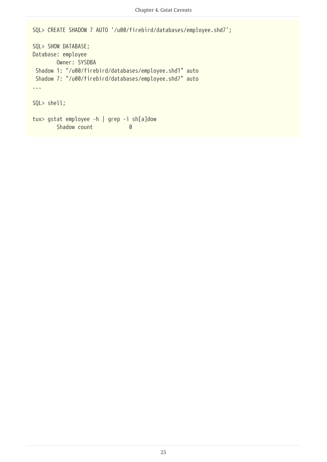```
SQL> CREATE SHADOW 7 AUTO '/u00/firebird/databases/employee.shd7';
SQL> SHOW DATABASE;
Database: employee
         Owner: SYSDBA
 Shadow 1: "/u00/firebird/databases/employee.shd1" auto
 Shadow 7: "/u00/firebird/databases/employee.shd7" auto
...
SQL> shell;
tux> gstat employee -h | grep -i sh[a]dow
       Shadow count 0
```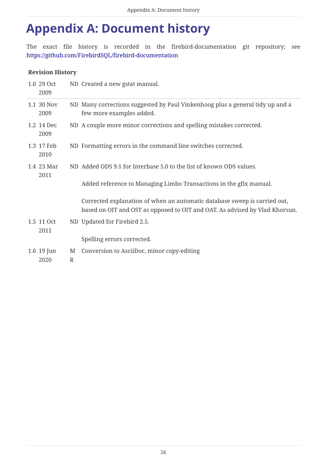# <span id="page-26-0"></span>**Appendix A: Document history**

The exact file history is recorded in the firebird-documentation git repository; see <https://github.com/FirebirdSQL/firebird-documentation>

## **Revision History**

| 1.0 29 Oct<br>2009 |                   | ND Created a new gstat manual.                                                                                                                           |
|--------------------|-------------------|----------------------------------------------------------------------------------------------------------------------------------------------------------|
| 1.1 30 Nov<br>2009 |                   | ND Many corrections suggested by Paul Vinkenhoog plus a general tidy up and a<br>few more examples added.                                                |
| 1.2 14 Dec<br>2009 |                   | ND A couple more minor corrections and spelling mistakes corrected.                                                                                      |
| 1.3 17 Feb<br>2010 |                   | ND Formatting errors in the command line switches corrected.                                                                                             |
| 1.4 23 Mar<br>2011 |                   | ND Added ODS 9.1 for Interbase 5.0 to the list of known ODS values.                                                                                      |
|                    |                   | Added reference to Managing Limbo Transactions in the gfix manual.                                                                                       |
|                    |                   | Corrected explanation of when an automatic database sweep is carried out,<br>based on OIT and OST as opposed to OIT and OAT. As advised by Vlad Khorsun. |
| 1.5 11 Oct<br>2011 |                   | ND Updated for Firebird 2.5.                                                                                                                             |
|                    |                   | Spelling errors corrected.                                                                                                                               |
| 1.6 19 Jun<br>2020 | M<br>$\mathbb{R}$ | Conversion to AsciiDoc, minor copy-editing                                                                                                               |